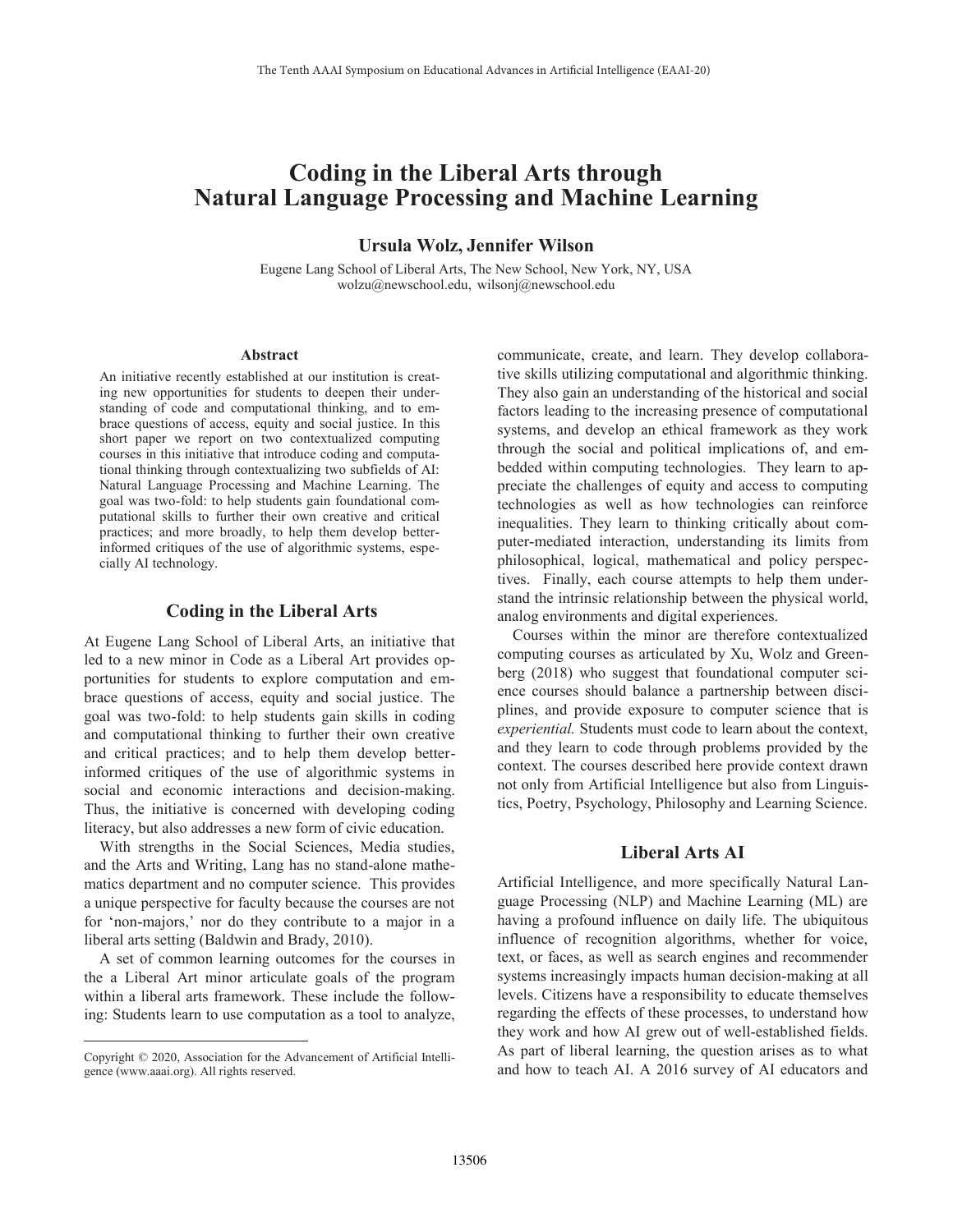# **Coding in the Liberal Arts through Natural Language Processing and Machine Learning**

**Ursula Wolz, Jennifer Wilson**

Eugene Lang School of Liberal Arts, The New School, New York, NY, USA wolzu@newschool.edu, wilsonj@newschool.edu

#### **Abstract**

An initiative recently established at our institution is creating new opportunities for students to deepen their understanding of code and computational thinking, and to embrace questions of access, equity and social justice. In this short paper we report on two contextualized computing courses in this initiative that introduce coding and computational thinking through contextualizing two subfields of AI: Natural Language Processing and Machine Learning. The goal was two-fold: to help students gain foundational computational skills to further their own creative and critical practices; and more broadly, to help them develop betterinformed critiques of the use of algorithmic systems, especially AI technology.

# **Coding in the Liberal Arts**

At Eugene Lang School of Liberal Arts, an initiative that led to a new minor in Code as a Liberal Art provides opportunities for students to explore computation and embrace questions of access, equity and social justice. The goal was two-fold: to help students gain skills in coding and computational thinking to further their own creative and critical practices; and to help them develop betterinformed critiques of the use of algorithmic systems in social and economic interactions and decision-making. Thus, the initiative is concerned with developing coding literacy, but also addresses a new form of civic education.

 With strengths in the Social Sciences, Media studies, and the Arts and Writing, Lang has no stand-alone mathematics department and no computer science. This provides a unique perspective for faculty because the courses are not for 'non-majors,' nor do they contribute to a major in a liberal arts setting (Baldwin and Brady, 2010).

 A set of common learning outcomes for the courses in the a Liberal Art minor articulate goals of the program within a liberal arts framework. These include the following: Students learn to use computation as a tool to analyze,

 $\overline{a}$ 

communicate, create, and learn. They develop collaborative skills utilizing computational and algorithmic thinking. They also gain an understanding of the historical and social factors leading to the increasing presence of computational systems, and develop an ethical framework as they work through the social and political implications of, and embedded within computing technologies. They learn to appreciate the challenges of equity and access to computing technologies as well as how technologies can reinforce inequalities. They learn to thinking critically about computer-mediated interaction, understanding its limits from philosophical, logical, mathematical and policy perspectives. Finally, each course attempts to help them understand the intrinsic relationship between the physical world, analog environments and digital experiences.

 Courses within the minor are therefore contextualized computing courses as articulated by Xu, Wolz and Greenberg (2018) who suggest that foundational computer science courses should balance a partnership between disciplines, and provide exposure to computer science that is *experiential.* Students must code to learn about the context, and they learn to code through problems provided by the context. The courses described here provide context drawn not only from Artificial Intelligence but also from Linguistics, Poetry, Psychology, Philosophy and Learning Science.

# **Liberal Arts AI**

Artificial Intelligence, and more specifically Natural Language Processing (NLP) and Machine Learning (ML) are having a profound influence on daily life. The ubiquitous influence of recognition algorithms, whether for voice, text, or faces, as well as search engines and recommender systems increasingly impacts human decision-making at all levels. Citizens have a responsibility to educate themselves regarding the effects of these processes, to understand how they work and how AI grew out of well-established fields. As part of liberal learning, the question arises as to what and how to teach AI. A 2016 survey of AI educators and

Copyright © 2020, Association for the Advancement of Artificial Intelligence (www.aaai.org). All rights reserved.